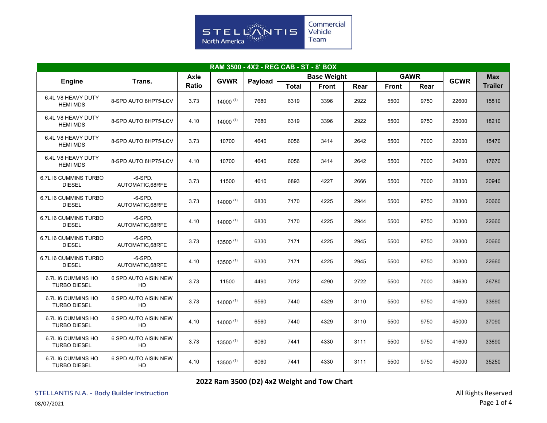

| RAM 3500 - 4X2 - REG CAB - ST - 8' BOX    |                                          |       |               |         |                    |              |      |              |             |             |                |
|-------------------------------------------|------------------------------------------|-------|---------------|---------|--------------------|--------------|------|--------------|-------------|-------------|----------------|
| <b>Engine</b><br>Trans.                   |                                          | Axle  | <b>GVWR</b>   |         | <b>Base Weight</b> |              |      |              | <b>GAWR</b> | <b>GCWR</b> | <b>Max</b>     |
|                                           |                                          | Ratio |               | Payload | <b>Total</b>       | <b>Front</b> | Rear | <b>Front</b> | Rear        |             | <b>Trailer</b> |
| 6.4L V8 HEAVY DUTY<br><b>HEMI MDS</b>     | 8-SPD AUTO 8HP75-LCV                     | 3.73  | $14000^{(1)}$ | 7680    | 6319               | 3396         | 2922 | 5500         | 9750        | 22600       | 15810          |
| 6.4L V8 HEAVY DUTY<br><b>HEMI MDS</b>     | 8-SPD AUTO 8HP75-LCV                     | 4.10  | $14000^{(1)}$ | 7680    | 6319               | 3396         | 2922 | 5500         | 9750        | 25000       | 18210          |
| 6.4L V8 HEAVY DUTY<br><b>HEMI MDS</b>     | 8-SPD AUTO 8HP75-LCV                     | 3.73  | 10700         | 4640    | 6056               | 3414         | 2642 | 5500         | 7000        | 22000       | 15470          |
| 6.4L V8 HEAVY DUTY<br><b>HEMI MDS</b>     | 8-SPD AUTO 8HP75-LCV                     | 4.10  | 10700         | 4640    | 6056               | 3414         | 2642 | 5500         | 7000        | 24200       | 17670          |
| 6.7L I6 CUMMINS TURBO<br><b>DIESEL</b>    | $-6-SPD.$<br>AUTOMATIC,68RFE             | 3.73  | 11500         | 4610    | 6893               | 4227         | 2666 | 5500         | 7000        | 28300       | 20940          |
| 6.7L I6 CUMMINS TURBO<br><b>DIESEL</b>    | $-6-SPD.$<br>AUTOMATIC,68RFE             | 3.73  | $14000^{(1)}$ | 6830    | 7170               | 4225         | 2944 | 5500         | 9750        | 28300       | 20660          |
| 6.7L I6 CUMMINS TURBO<br><b>DIESEL</b>    | $-6-SPD.$<br>AUTOMATIC,68RFE             | 4.10  | 14000 $(1)$   | 6830    | 7170               | 4225         | 2944 | 5500         | 9750        | 30300       | 22660          |
| 6.7L I6 CUMMINS TURBO<br><b>DIESEL</b>    | $-6-SPD.$<br>AUTOMATIC.68RFE             | 3.73  | $13500^{(1)}$ | 6330    | 7171               | 4225         | 2945 | 5500         | 9750        | 28300       | 20660          |
| 6.7L I6 CUMMINS TURBO<br><b>DIESEL</b>    | $-6-SPD.$<br>AUTOMATIC,68RFE             | 4.10  | $13500^{(1)}$ | 6330    | 7171               | 4225         | 2945 | 5500         | 9750        | 30300       | 22660          |
| 6.7L I6 CUMMINS HO<br><b>TURBO DIESEL</b> | 6 SPD AUTO AISIN NEW<br>HD               | 3.73  | 11500         | 4490    | 7012               | 4290         | 2722 | 5500         | 7000        | 34630       | 26780          |
| 6.7L I6 CUMMINS HO<br><b>TURBO DIESEL</b> | 6 SPD AUTO AISIN NEW<br>HD               | 3.73  | $14000^{(1)}$ | 6560    | 7440               | 4329         | 3110 | 5500         | 9750        | 41600       | 33690          |
| 6.7L I6 CUMMINS HO<br><b>TURBO DIESEL</b> | <b>6 SPD AUTO AISIN NEW</b><br><b>HD</b> | 4.10  | 14000 $(1)$   | 6560    | 7440               | 4329         | 3110 | 5500         | 9750        | 45000       | 37090          |
| 6.7L I6 CUMMINS HO<br><b>TURBO DIESEL</b> | 6 SPD AUTO AISIN NEW<br>HD               | 3.73  | 13500 $(1)$   | 6060    | 7441               | 4330         | 3111 | 5500         | 9750        | 41600       | 33690          |
| 6.7L I6 CUMMINS HO<br><b>TURBO DIESEL</b> | 6 SPD AUTO AISIN NEW<br>HD               | 4.10  | $13500^{(1)}$ | 6060    | 7441               | 4330         | 3111 | 5500         | 9750        | 45000       | 35250          |

**2022 Ram 3500 (D2) 4x2 Weight and Tow Chart**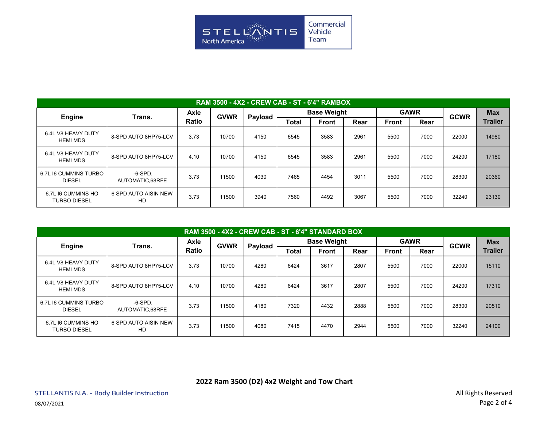

| <b>RAM 3500 - 4X2 - CREW CAB - ST - 6'4" RAMBOX</b> |                              |                             |             |         |                    |              |      |              |      |             |                |
|-----------------------------------------------------|------------------------------|-----------------------------|-------------|---------|--------------------|--------------|------|--------------|------|-------------|----------------|
| <b>Engine</b>                                       | Trans.                       | <b>Axle</b><br><b>Ratio</b> | <b>GVWR</b> | Payload | <b>Base Weight</b> |              |      | <b>GAWR</b>  |      | <b>GCWR</b> | <b>Max</b>     |
|                                                     |                              |                             |             |         | Total              | <b>Front</b> | Rear | <b>Front</b> | Rear |             | <b>Trailer</b> |
| 6.4L V8 HEAVY DUTY<br><b>HEMI MDS</b>               | 8-SPD AUTO 8HP75-LCV         | 3.73                        | 10700       | 4150    | 6545               | 3583         | 2961 | 5500         | 7000 | 22000       | 14980          |
| 6.4L V8 HEAVY DUTY<br><b>HEMI MDS</b>               | 8-SPD AUTO 8HP75-LCV         | 4.10                        | 10700       | 4150    | 6545               | 3583         | 2961 | 5500         | 7000 | 24200       | 17180          |
| 6.7L I6 CUMMINS TURBO<br><b>DIESEL</b>              | $-6-SPD.$<br>AUTOMATIC.68RFE | 3.73                        | 11500       | 4030    | 7465               | 4454         | 3011 | 5500         | 7000 | 28300       | 20360          |
| 6.7L I6 CUMMINS HO<br><b>TURBO DIESEL</b>           | 6 SPD AUTO AISIN NEW<br>HD   | 3.73                        | 11500       | 3940    | 7560               | 4492         | 3067 | 5500         | 7000 | 32240       | 23130          |

| RAM 3500 - 4X2 - CREW CAB - ST - 6'4" STANDARD BOX |                              |                             |             |         |                    |              |      |              |      |             |                |
|----------------------------------------------------|------------------------------|-----------------------------|-------------|---------|--------------------|--------------|------|--------------|------|-------------|----------------|
| <b>Engine</b>                                      | Trans.                       | <b>Axle</b><br><b>Ratio</b> | <b>GVWR</b> | Payload | <b>Base Weight</b> |              |      | <b>GAWR</b>  |      | <b>GCWR</b> | <b>Max</b>     |
|                                                    |                              |                             |             |         | <b>Total</b>       | <b>Front</b> | Rear | <b>Front</b> | Rear |             | <b>Trailer</b> |
| 6.4L V8 HEAVY DUTY<br><b>HEMI MDS</b>              | 8-SPD AUTO 8HP75-LCV         | 3.73                        | 10700       | 4280    | 6424               | 3617         | 2807 | 5500         | 7000 | 22000       | 15110          |
| 6.4L V8 HEAVY DUTY<br><b>HEMI MDS</b>              | 8-SPD AUTO 8HP75-LCV         | 4.10                        | 10700       | 4280    | 6424               | 3617         | 2807 | 5500         | 7000 | 24200       | 17310          |
| 6.7L I6 CUMMINS TURBO<br><b>DIESEL</b>             | $-6-SPD.$<br>AUTOMATIC.68RFE | 3.73                        | 11500       | 4180    | 7320               | 4432         | 2888 | 5500         | 7000 | 28300       | 20510          |
| 6.7L I6 CUMMINS HO<br><b>TURBO DIESEL</b>          | 6 SPD AUTO AISIN NEW<br>HD   | 3.73                        | 11500       | 4080    | 7415               | 4470         | 2944 | 5500         | 7000 | 32240       | 24100          |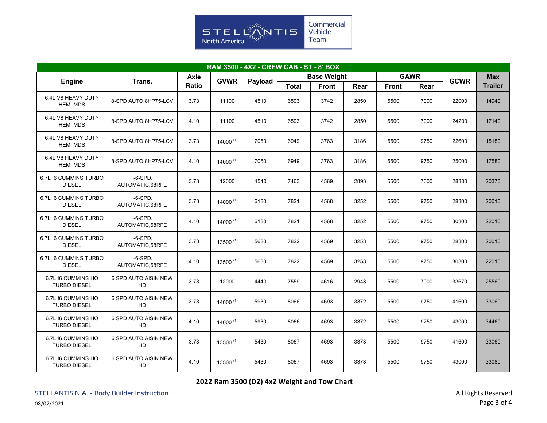

| RAM 3500 - 4X2 - CREW CAB - ST - 8' BOX   |                                   |               |               |         |                    |              |      |              |             |             |                |
|-------------------------------------------|-----------------------------------|---------------|---------------|---------|--------------------|--------------|------|--------------|-------------|-------------|----------------|
| <b>Engine</b>                             | Trans.                            | Axle<br>Ratio | <b>GVWR</b>   | Payload | <b>Base Weight</b> |              |      |              | <b>GAWR</b> | <b>GCWR</b> | <b>Max</b>     |
|                                           |                                   |               |               |         | <b>Total</b>       | <b>Front</b> | Rear | <b>Front</b> | Rear        |             | <b>Trailer</b> |
| 6.4L V8 HEAVY DUTY<br><b>HEMI MDS</b>     | 8-SPD AUTO 8HP75-LCV              | 3.73          | 11100         | 4510    | 6593               | 3742         | 2850 | 5500         | 7000        | 22000       | 14940          |
| 6.4L V8 HEAVY DUTY<br><b>HEMI MDS</b>     | 8-SPD AUTO 8HP75-LCV              | 4.10          | 11100         | 4510    | 6593               | 3742         | 2850 | 5500         | 7000        | 24200       | 17140          |
| 6.4L V8 HEAVY DUTY<br><b>HEMI MDS</b>     | 8-SPD AUTO 8HP75-LCV              | 3.73          | $14000^{(1)}$ | 7050    | 6949               | 3763         | 3186 | 5500         | 9750        | 22600       | 15180          |
| 6.4L V8 HEAVY DUTY<br><b>HEMI MDS</b>     | 8-SPD AUTO 8HP75-LCV              | 4.10          | $14000^{(1)}$ | 7050    | 6949               | 3763         | 3186 | 5500         | 9750        | 25000       | 17580          |
| 6.7L I6 CUMMINS TURBO<br><b>DIESEL</b>    | $-6-SPD.$<br>AUTOMATIC,68RFE      | 3.73          | 12000         | 4540    | 7463               | 4569         | 2893 | 5500         | 7000        | 28300       | 20370          |
| 6.7L I6 CUMMINS TURBO<br><b>DIESEL</b>    | $-6-SPD.$<br>AUTOMATIC,68RFE      | 3.73          | 14000 $(1)$   | 6180    | 7821               | 4568         | 3252 | 5500         | 9750        | 28300       | 20010          |
| 6.7L I6 CUMMINS TURBO<br><b>DIESEL</b>    | $-6-SPD.$<br>AUTOMATIC,68RFE      | 4.10          | 14000 $(1)$   | 6180    | 7821               | 4568         | 3252 | 5500         | 9750        | 30300       | 22010          |
| 6.7L I6 CUMMINS TURBO<br><b>DIESEL</b>    | $-6-SPD.$<br>AUTOMATIC.68RFE      | 3.73          | $13500^{(1)}$ | 5680    | 7822               | 4569         | 3253 | 5500         | 9750        | 28300       | 20010          |
| 6.7L I6 CUMMINS TURBO<br><b>DIESEL</b>    | $-6-SPD.$<br>AUTOMATIC,68RFE      | 4.10          | $13500^{(1)}$ | 5680    | 7822               | 4569         | 3253 | 5500         | 9750        | 30300       | 22010          |
| 6.7L I6 CUMMINS HO<br><b>TURBO DIESEL</b> | 6 SPD AUTO AISIN NEW<br>HD        | 3.73          | 12000         | 4440    | 7559               | 4616         | 2943 | 5500         | 7000        | 33670       | 25560          |
| 6.7L I6 CUMMINS HO<br><b>TURBO DIESEL</b> | 6 SPD AUTO AISIN NEW<br>HD        | 3.73          | 14000 $(1)$   | 5930    | 8066               | 4693         | 3372 | 5500         | 9750        | 41600       | 33060          |
| 6.7L I6 CUMMINS HO<br><b>TURBO DIESEL</b> | <b>6 SPD AUTO AISIN NEW</b><br>HD | 4.10          | 14000 $(1)$   | 5930    | 8066               | 4693         | 3372 | 5500         | 9750        | 43000       | 34460          |
| 6.7L I6 CUMMINS HO<br><b>TURBO DIESEL</b> | 6 SPD AUTO AISIN NEW<br>HD        | 3.73          | $13500^{(1)}$ | 5430    | 8067               | 4693         | 3373 | 5500         | 9750        | 41600       | 33060          |
| 6.7L I6 CUMMINS HO<br><b>TURBO DIESEL</b> | 6 SPD AUTO AISIN NEW<br>HD        | 4.10          | $13500^{(1)}$ | 5430    | 8067               | 4693         | 3373 | 5500         | 9750        | 43000       | 33080          |

**2022 Ram 3500 (D2) 4x2 Weight and Tow Chart**